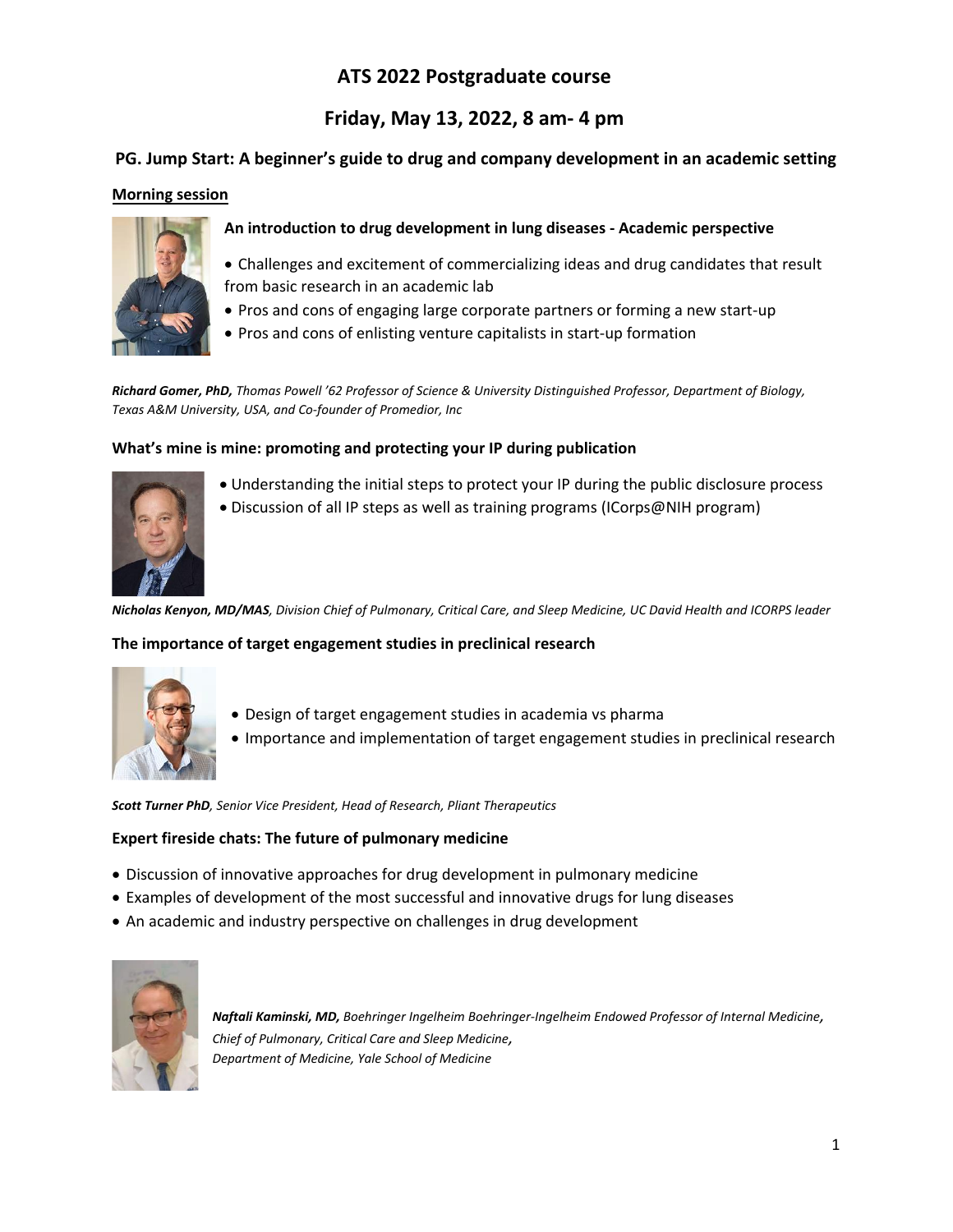# **ATS 2022 Postgraduate course**

# **Friday, May 13, 2022, 8 am- 4 pm**

# **PG. Jump Start: A beginner's guide to drug and company development in an academic setting**

## **Morning session**



- **An introduction to drug development in lung diseases - Academic perspective**
- Challenges and excitement of commercializing ideas and drug candidates that result from basic research in an academic lab
- Pros and cons of engaging large corporate partners or forming a new start-up
- Pros and cons of enlisting venture capitalists in start-up formation

*Richard Gomer, PhD, Thomas Powell '62 Professor of Science & University Distinguished Professor, Department of Biology, Texas A&M University, USA, and Co-founder of Promedior, Inc*

## **What's mine is mine: promoting and protecting your IP during publication**



- Understanding the initial steps to protect your IP during the public disclosure process • Discussion of all IP steps as well as training programs (ICorps@NIH program)
- *Nicholas Kenyon, MD/MAS, Division Chief of Pulmonary, Critical Care, and Sleep Medicine, UC David Health and ICORPS leader*

### **The importance of target engagement studies in preclinical research**



- Design of target engagement studies in academia vs pharma
- Importance and implementation of target engagement studies in preclinical research

*Scott Turner PhD, Senior Vice President, Head of Research, Pliant Therapeutics*

### **Expert fireside chats: The future of pulmonary medicine**

- Discussion of innovative approaches for drug development in pulmonary medicine
- Examples of development of the most successful and innovative drugs for lung diseases
- An academic and industry perspective on challenges in drug development



*Naftali Kaminski, MD, Boehringer Ingelheim Boehringer-Ingelheim Endowed Professor of Internal Medicine, Chief of Pulmonary, Critical Care and Sleep Medicine, Department of Medicine, Yale School of Medicine*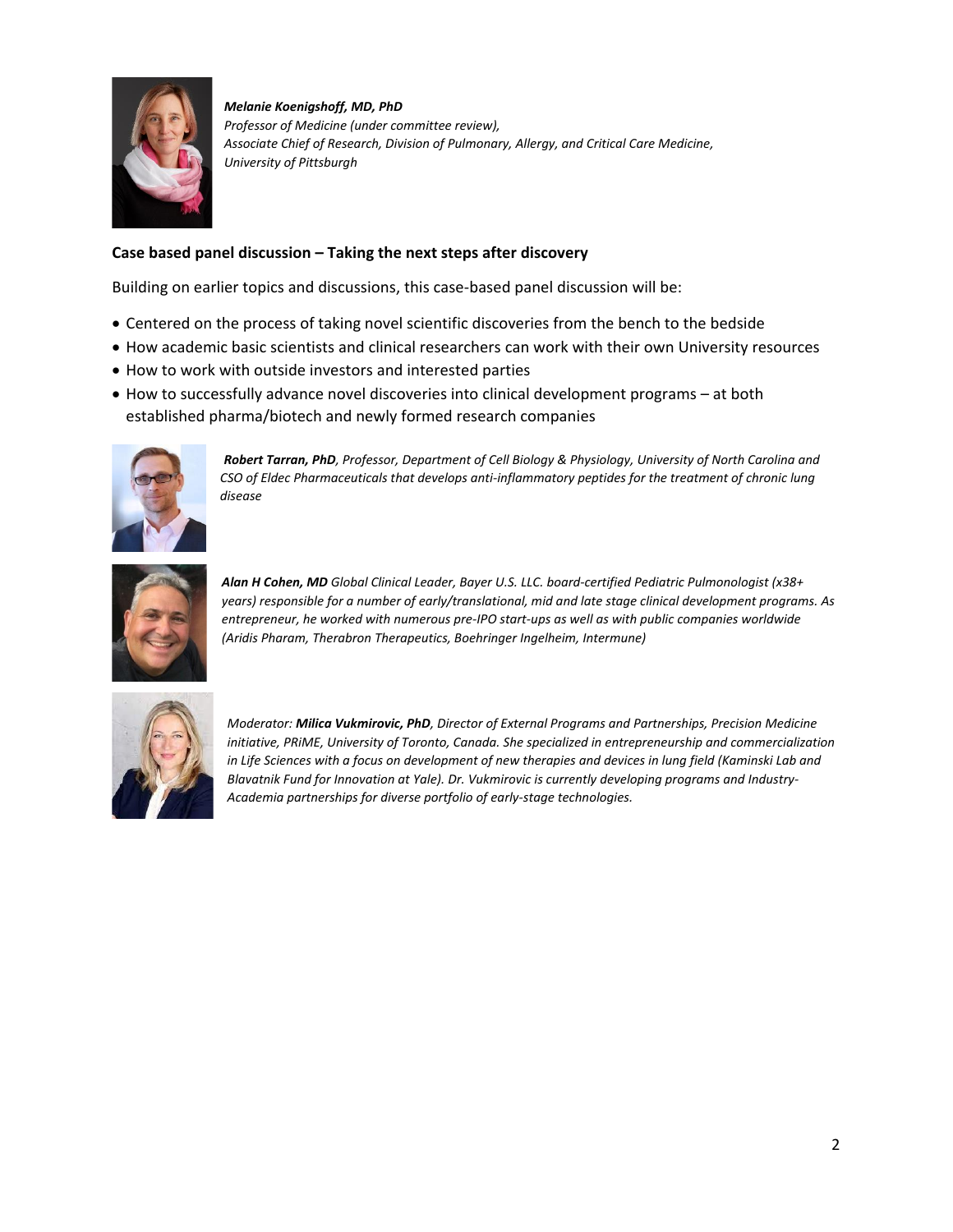

*Melanie Koenigshoff, MD, PhD Professor of Medicine (under committee review), Associate Chief of Research, Division of Pulmonary, Allergy, and Critical Care Medicine, University of Pittsburgh*

# **Case based panel discussion – Taking the next steps after discovery**

Building on earlier topics and discussions, this case-based panel discussion will be:

- Centered on the process of taking novel scientific discoveries from the bench to the bedside
- How academic basic scientists and clinical researchers can work with their own University resources
- How to work with outside investors and interested parties
- How to successfully advance novel discoveries into clinical development programs at both established pharma/biotech and newly formed research companies



*Robert Tarran, PhD, Professor, Department of Cell Biology & Physiology, University of North Carolina and CSO of Eldec Pharmaceuticals that develops anti-inflammatory peptides for the treatment of chronic lung disease* 



*Alan H Cohen, MD Global Clinical Leader, Bayer U.S. LLC. board-certified Pediatric Pulmonologist (x38+ years) responsible for a number of early/translational, mid and late stage clinical development programs. As entrepreneur, he worked with numerous pre-IPO start-ups as well as with public companies worldwide (Aridis Pharam, Therabron Therapeutics, Boehringer Ingelheim, Intermune)*



*Moderator: Milica Vukmirovic, PhD, Director of External Programs and Partnerships, Precision Medicine initiative, PRiME, University of Toronto, Canada. She specialized in entrepreneurship and commercialization in Life Sciences with a focus on development of new therapies and devices in lung field (Kaminski Lab and Blavatnik Fund for Innovation at Yale). Dr. Vukmirovic is currently developing programs and Industry-Academia partnerships for diverse portfolio of early-stage technologies.*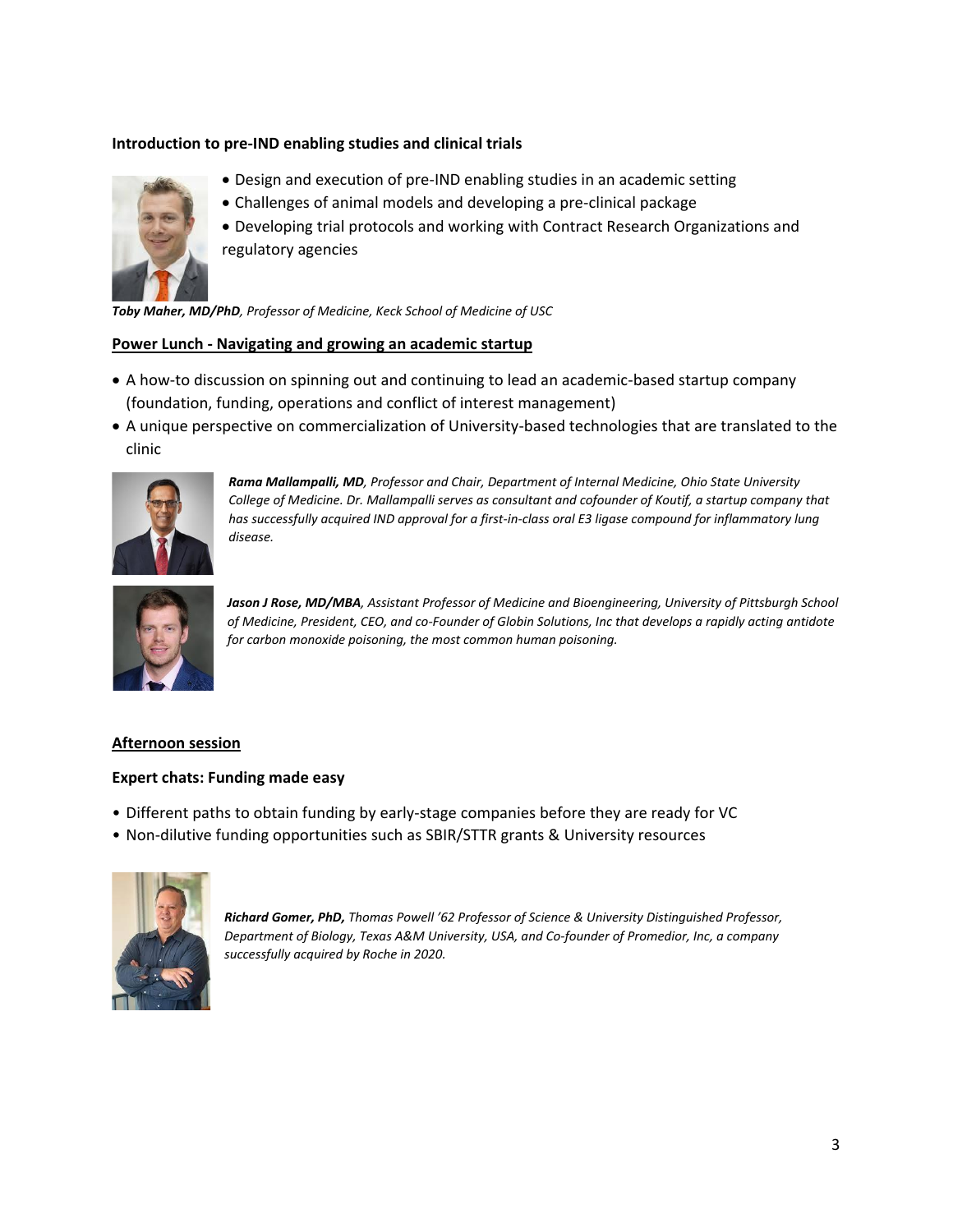## **Introduction to pre-IND enabling studies and clinical trials**



- Design and execution of pre-IND enabling studies in an academic setting
- Challenges of animal models and developing a pre-clinical package
- Developing trial protocols and working with Contract Research Organizations and regulatory agencies

*Toby Maher, MD/PhD, Professor of Medicine, Keck School of Medicine of USC*

#### **Power Lunch - Navigating and growing an academic startup**

- A how-to discussion on spinning out and continuing to lead an academic-based startup company (foundation, funding, operations and conflict of interest management)
- A unique perspective on commercialization of University-based technologies that are translated to the clinic



*Rama Mallampalli, MD, Professor and Chair, Department of Internal Medicine, Ohio State University College of Medicine. Dr. Mallampalli serves as consultant and cofounder of Koutif, a startup company that has successfully acquired IND approval for a first-in-class oral E3 ligase compound for inflammatory lung disease.*



*Jason J Rose, MD/MBA, Assistant Professor of Medicine and Bioengineering, University of Pittsburgh School of Medicine, President, CEO, and co-Founder of Globin Solutions, Inc that develops a rapidly acting antidote for carbon monoxide poisoning, the most common human poisoning.*

#### **Afternoon session**

#### **Expert chats: Funding made easy**

- Different paths to obtain funding by early-stage companies before they are ready for VC
- Non-dilutive funding opportunities such as SBIR/STTR grants & University resources



*Richard Gomer, PhD, Thomas Powell '62 Professor of Science & University Distinguished Professor, Department of Biology, Texas A&M University, USA, and Co-founder of Promedior, Inc, a company successfully acquired by Roche in 2020.*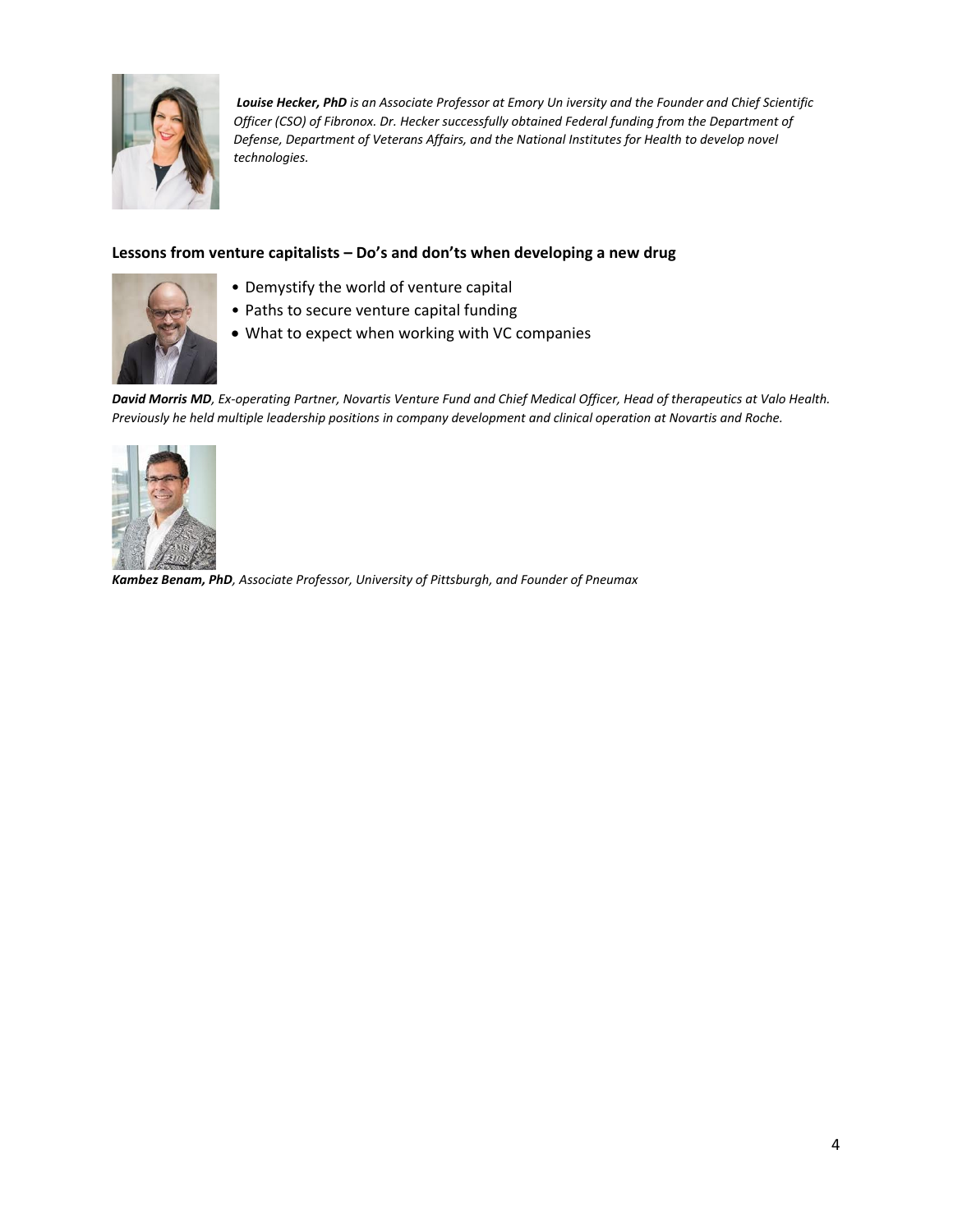

*Louise Hecker, PhD is an Associate Professor at Emory Un iversity and the Founder and Chief Scientific Officer (CSO) of Fibronox. Dr. Hecker successfully obtained Federal funding from the Department of Defense, Department of Veterans Affairs, and the National Institutes for Health to develop novel technologies.*

## **Lessons from venture capitalists – Do's and don'ts when developing a new drug**



- Demystify the world of venture capital
- Paths to secure venture capital funding
- What to expect when working with VC companies

*David Morris MD, Ex-operating Partner, Novartis Venture Fund and Chief Medical Officer, Head of therapeutics at Valo Health. Previously he held multiple leadership positions in company development and clinical operation at Novartis and Roche.* 



*Kambez Benam, PhD, Associate Professor, University of Pittsburgh, and Founder of Pneumax*